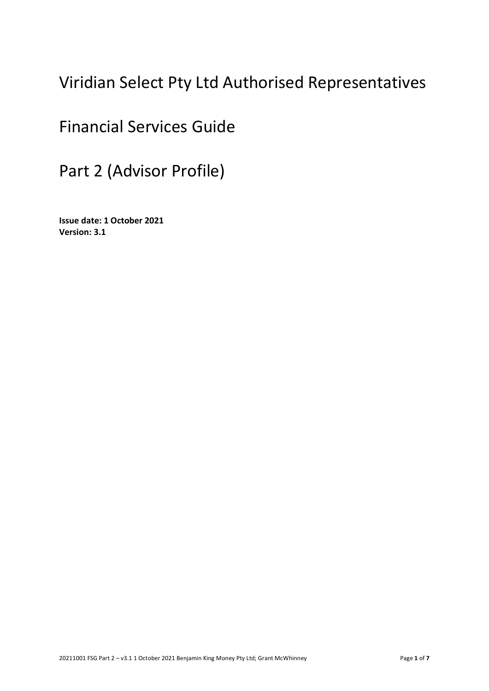# Viridian Select Pty Ltd Authorised Representatives

# Financial Services Guide

Part 2 (Advisor Profile)

**Issue date: 1 October 2021 Version: 3.1**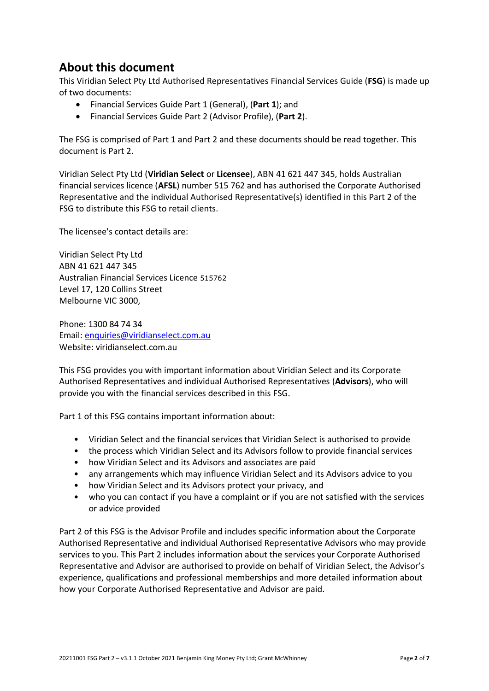## **About this document**

This Viridian Select Pty Ltd Authorised Representatives Financial Services Guide (**FSG**) is made up of two documents:

- Financial Services Guide Part 1 (General), (**Part 1**); and
- Financial Services Guide Part 2 (Advisor Profile), (**Part 2**).

The FSG is comprised of Part 1 and Part 2 and these documents should be read together. This document is Part 2.

Viridian Select Pty Ltd (**Viridian Select** or **Licensee**), ABN 41 621 447 345, holds Australian financial services licence (**AFSL**) number 515 762 and has authorised the Corporate Authorised Representative and the individual Authorised Representative(s) identified in this Part 2 of the FSG to distribute this FSG to retail clients.

The licensee's contact details are:

Viridian Select Pty Ltd ABN 41 621 447 345 Australian Financial Services Licence 515762 Level 17, 120 Collins Street Melbourne VIC 3000,

Phone: 1300 84 74 34 Email: [enquiries@viridianselect.com.au](mailto:enquiries@viridianselect.com.au) Website: viridianselect.com.au

This FSG provides you with important information about Viridian Select and its Corporate Authorised Representatives and individual Authorised Representatives (**Advisors**), who will provide you with the financial services described in this FSG.

Part 1 of this FSG contains important information about:

- Viridian Select and the financial services that Viridian Select is authorised to provide
- the process which Viridian Select and its Advisors follow to provide financial services
- how Viridian Select and its Advisors and associates are paid
- any arrangements which may influence Viridian Select and its Advisors advice to you
- how Viridian Select and its Advisors protect your privacy, and
- who you can contact if you have a complaint or if you are not satisfied with the services or advice provided

Part 2 of this FSG is the Advisor Profile and includes specific information about the Corporate Authorised Representative and individual Authorised Representative Advisors who may provide services to you. This Part 2 includes information about the services your Corporate Authorised Representative and Advisor are authorised to provide on behalf of Viridian Select, the Advisor's experience, qualifications and professional memberships and more detailed information about how your Corporate Authorised Representative and Advisor are paid.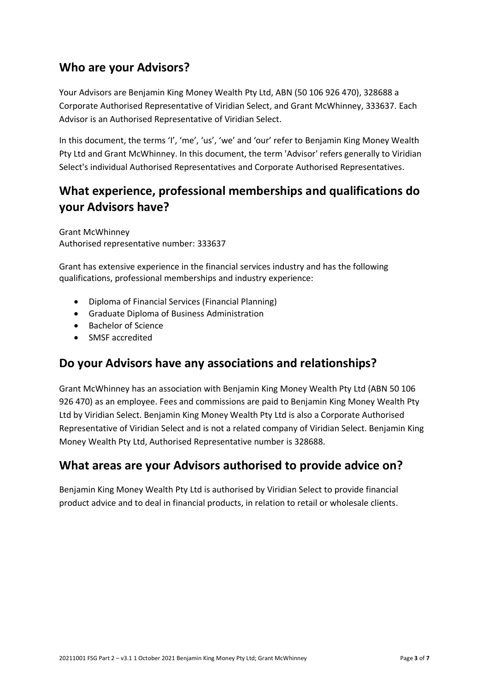#### **Who are your Advisors?**

Your Advisors are Benjamin King Money Wealth Pty Ltd, ABN (50 106 926 470), 328688 a Corporate Authorised Representative of Viridian Select, and Grant McWhinney, 333637. Each Advisor is an Authorised Representative of Viridian Select.

In this document, the terms 'I', 'me', 'us', 'we' and 'our' refer to Benjamin King Money Wealth Pty Ltd and Grant McWhinney. In this document, the term 'Advisor' refers generally to Viridian Select's individual Authorised Representatives and Corporate Authorised Representatives.

# **What experience, professional memberships and qualifications do your Advisors have?**

Grant McWhinney Authorised representative number: 333637

Grant has extensive experience in the financial services industry and has the following qualifications, professional memberships and industry experience:

- Diploma of Financial Services (Financial Planning)
- Graduate Diploma of Business Administration
- Bachelor of Science
- SMSF accredited

#### **Do your Advisors have any associations and relationships?**

Grant McWhinney has an association with Benjamin King Money Wealth Pty Ltd (ABN 50 106 926 470) as an employee. Fees and commissions are paid to Benjamin King Money Wealth Pty Ltd by Viridian Select. Benjamin King Money Wealth Pty Ltd is also a Corporate Authorised Representative of Viridian Select and is not a related company of Viridian Select. Benjamin King Money Wealth Pty Ltd, Authorised Representative number is 328688.

## **What areas are your Advisors authorised to provide advice on?**

Benjamin King Money Wealth Pty Ltd is authorised by Viridian Select to provide financial product advice and to deal in financial products, in relation to retail or wholesale clients.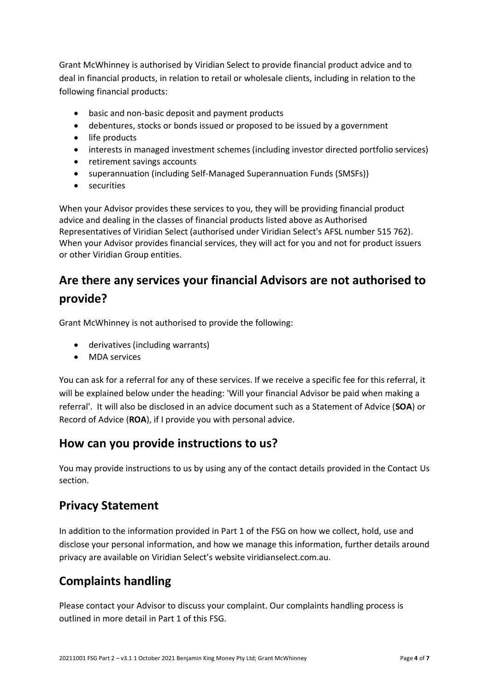Grant McWhinney is authorised by Viridian Select to provide financial product advice and to deal in financial products, in relation to retail or wholesale clients, including in relation to the following financial products:

- basic and non-basic deposit and payment products
- debentures, stocks or bonds issued or proposed to be issued by a government
- life products
- interests in managed investment schemes (including investor directed portfolio services)
- retirement savings accounts
- superannuation (including Self-Managed Superannuation Funds (SMSFs))
- securities

When your Advisor provides these services to you, they will be providing financial product advice and dealing in the classes of financial products listed above as Authorised Representatives of Viridian Select (authorised under Viridian Select's AFSL number 515 762). When your Advisor provides financial services, they will act for you and not for product issuers or other Viridian Group entities.

# **Are there any services your financial Advisors are not authorised to provide?**

Grant McWhinney is not authorised to provide the following:

- derivatives (including warrants)
- MDA services

You can ask for a referral for any of these services. If we receive a specific fee for this referral, it will be explained below under the heading: 'Will your financial Advisor be paid when making a referral'. It will also be disclosed in an advice document such as a Statement of Advice (**SOA**) or Record of Advice (**ROA**), if I provide you with personal advice.

#### **How can you provide instructions to us?**

You may provide instructions to us by using any of the contact details provided in the Contact Us section.

#### **Privacy Statement**

In addition to the information provided in Part 1 of the FSG on how we collect, hold, use and disclose your personal information, and how we manage this information, further details around privacy are available on Viridian Select's website viridianselect.com.au.

## **Complaints handling**

Please contact your Advisor to discuss your complaint. Our complaints handling process is outlined in more detail in Part 1 of this FSG.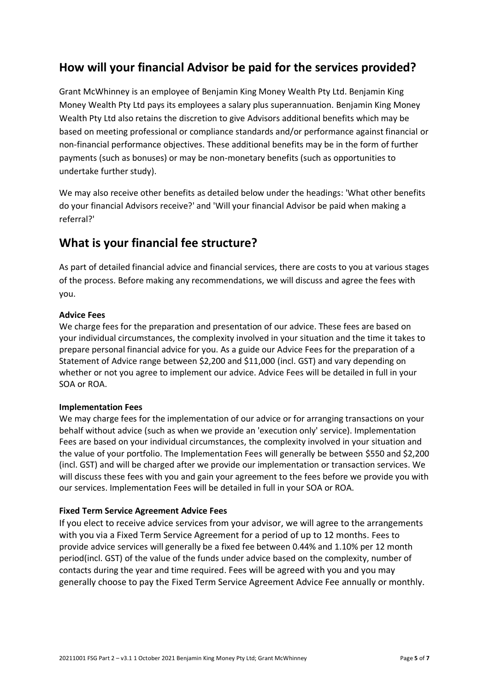## **How will your financial Advisor be paid for the services provided?**

Grant McWhinney is an employee of Benjamin King Money Wealth Pty Ltd. Benjamin King Money Wealth Pty Ltd pays its employees a salary plus superannuation. Benjamin King Money Wealth Pty Ltd also retains the discretion to give Advisors additional benefits which may be based on meeting professional or compliance standards and/or performance against financial or non-financial performance objectives. These additional benefits may be in the form of further payments (such as bonuses) or may be non-monetary benefits (such as opportunities to undertake further study).

We may also receive other benefits as detailed below under the headings: 'What other benefits do your financial Advisors receive?' and 'Will your financial Advisor be paid when making a referral?'

## **What is your financial fee structure?**

As part of detailed financial advice and financial services, there are costs to you at various stages of the process. Before making any recommendations, we will discuss and agree the fees with you.

#### **Advice Fees**

We charge fees for the preparation and presentation of our advice. These fees are based on your individual circumstances, the complexity involved in your situation and the time it takes to prepare personal financial advice for you. As a guide our Advice Fees for the preparation of a Statement of Advice range between \$2,200 and \$11,000 (incl. GST) and vary depending on whether or not you agree to implement our advice. Advice Fees will be detailed in full in your SOA or ROA.

#### **Implementation Fees**

We may charge fees for the implementation of our advice or for arranging transactions on your behalf without advice (such as when we provide an 'execution only' service). Implementation Fees are based on your individual circumstances, the complexity involved in your situation and the value of your portfolio. The Implementation Fees will generally be between \$550 and \$2,200 (incl. GST) and will be charged after we provide our implementation or transaction services. We will discuss these fees with you and gain your agreement to the fees before we provide you with our services. Implementation Fees will be detailed in full in your SOA or ROA.

#### **Fixed Term Service Agreement Advice Fees**

If you elect to receive advice services from your advisor, we will agree to the arrangements with you via a Fixed Term Service Agreement for a period of up to 12 months. Fees to provide advice services will generally be a fixed fee between 0.44% and 1.10% per 12 month period(incl. GST) of the value of the funds under advice based on the complexity, number of contacts during the year and time required. Fees will be agreed with you and you may generally choose to pay the Fixed Term Service Agreement Advice Fee annually or monthly.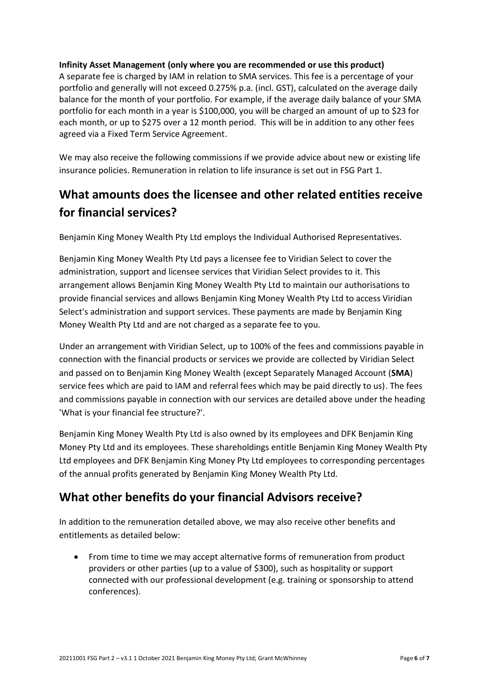#### **Infinity Asset Management (only where you are recommended or use this product)**

A separate fee is charged by IAM in relation to SMA services. This fee is a percentage of your portfolio and generally will not exceed 0.275% p.a. (incl. GST), calculated on the average daily balance for the month of your portfolio. For example, if the average daily balance of your SMA portfolio for each month in a year is \$100,000, you will be charged an amount of up to \$23 for each month, or up to \$275 over a 12 month period. This will be in addition to any other fees agreed via a Fixed Term Service Agreement.

We may also receive the following commissions if we provide advice about new or existing life insurance policies. Remuneration in relation to life insurance is set out in FSG Part 1.

# **What amounts does the licensee and other related entities receive for financial services?**

Benjamin King Money Wealth Pty Ltd employs the Individual Authorised Representatives.

Benjamin King Money Wealth Pty Ltd pays a licensee fee to Viridian Select to cover the administration, support and licensee services that Viridian Select provides to it. This arrangement allows Benjamin King Money Wealth Pty Ltd to maintain our authorisations to provide financial services and allows Benjamin King Money Wealth Pty Ltd to access Viridian Select's administration and support services. These payments are made by Benjamin King Money Wealth Pty Ltd and are not charged as a separate fee to you.

Under an arrangement with Viridian Select, up to 100% of the fees and commissions payable in connection with the financial products or services we provide are collected by Viridian Select and passed on to Benjamin King Money Wealth (except Separately Managed Account (**SMA**) service fees which are paid to IAM and referral fees which may be paid directly to us). The fees and commissions payable in connection with our services are detailed above under the heading 'What is your financial fee structure?'.

Benjamin King Money Wealth Pty Ltd is also owned by its employees and DFK Benjamin King Money Pty Ltd and its employees. These shareholdings entitle Benjamin King Money Wealth Pty Ltd employees and DFK Benjamin King Money Pty Ltd employees to corresponding percentages of the annual profits generated by Benjamin King Money Wealth Pty Ltd.

## **What other benefits do your financial Advisors receive?**

In addition to the remuneration detailed above, we may also receive other benefits and entitlements as detailed below:

• From time to time we may accept alternative forms of remuneration from product providers or other parties (up to a value of \$300), such as hospitality or support connected with our professional development (e.g. training or sponsorship to attend conferences).